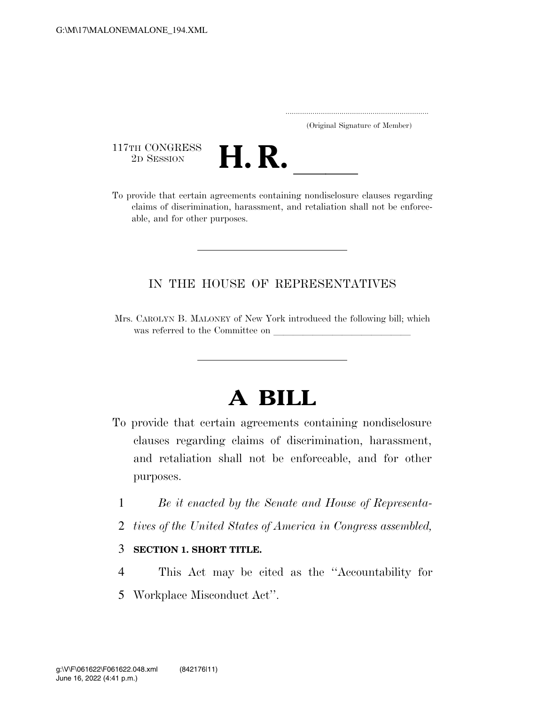|  | (Original Signature of Member) |  |
|--|--------------------------------|--|

117TH CONGRESS<br>2D SESSION



117TH CONGRESS<br>
2D SESSION<br>
To provide that certain agreements containing nondisclosure clauses regarding claims of discrimination, harassment, and retaliation shall not be enforceable, and for other purposes.

### IN THE HOUSE OF REPRESENTATIVES

Mrs. CAROLYN B. MALONEY of New York introduced the following bill; which was referred to the Committee on

# **A BILL**

- To provide that certain agreements containing nondisclosure clauses regarding claims of discrimination, harassment, and retaliation shall not be enforceable, and for other purposes.
	- 1 *Be it enacted by the Senate and House of Representa-*
	- 2 *tives of the United States of America in Congress assembled,*

### 3 **SECTION 1. SHORT TITLE.**

4 This Act may be cited as the ''Accountability for 5 Workplace Misconduct Act''.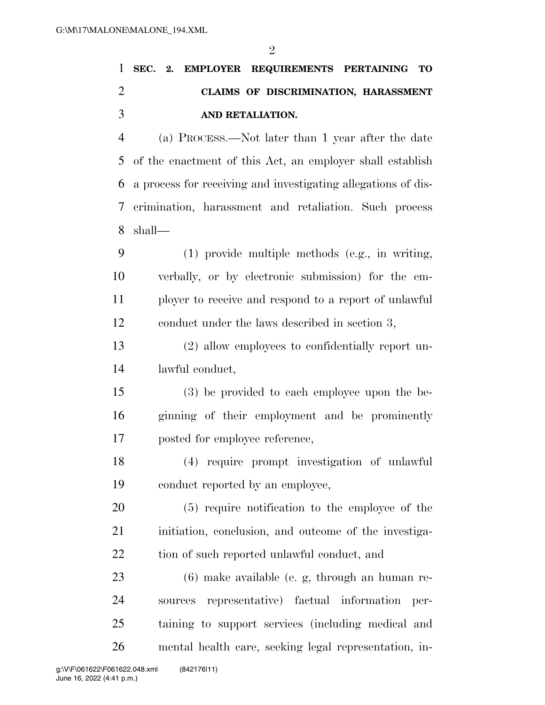|                             |  |                  | 1 SEC. 2. EMPLOYER REQUIREMENTS PERTAINING TO |  |  |
|-----------------------------|--|------------------|-----------------------------------------------|--|--|
| $\mathcal{D}_{\mathcal{L}}$ |  |                  | CLAIMS OF DISCRIMINATION, HARASSMENT          |  |  |
| $\mathcal{R}$               |  | AND RETALIATION. |                                               |  |  |

 (a) PROCESS.—Not later than 1 year after the date of the enactment of this Act, an employer shall establish a process for receiving and investigating allegations of dis- crimination, harassment and retaliation. Such process shall—

 (1) provide multiple methods (e.g., in writing, verbally, or by electronic submission) for the em- ployer to receive and respond to a report of unlawful conduct under the laws described in section 3,

 (2) allow employees to confidentially report un-lawful conduct,

 (3) be provided to each employee upon the be- ginning of their employment and be prominently posted for employee reference,

 (4) require prompt investigation of unlawful conduct reported by an employee,

 (5) require notification to the employee of the 21 initiation, conclusion, and outcome of the investiga-22 tion of such reported unlawful conduct, and

 (6) make available (e. g, through an human re- sources representative) factual information per- taining to support services (including medical and mental health care, seeking legal representation, in-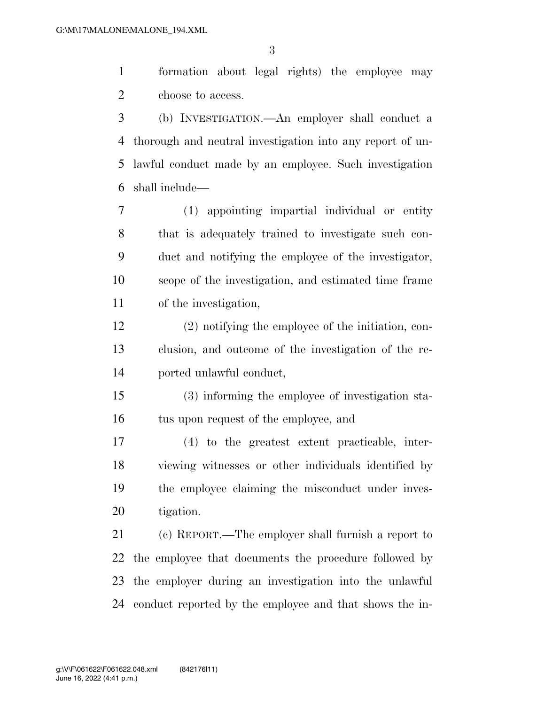formation about legal rights) the employee may choose to access.

 (b) INVESTIGATION.—An employer shall conduct a thorough and neutral investigation into any report of un- lawful conduct made by an employee. Such investigation shall include—

 (1) appointing impartial individual or entity that is adequately trained to investigate such con- duct and notifying the employee of the investigator, scope of the investigation, and estimated time frame of the investigation,

 (2) notifying the employee of the initiation, con- clusion, and outcome of the investigation of the re-ported unlawful conduct,

 (3) informing the employee of investigation sta-tus upon request of the employee, and

 (4) to the greatest extent practicable, inter- viewing witnesses or other individuals identified by the employee claiming the misconduct under inves-tigation.

 (c) REPORT.—The employer shall furnish a report to the employee that documents the procedure followed by the employer during an investigation into the unlawful conduct reported by the employee and that shows the in-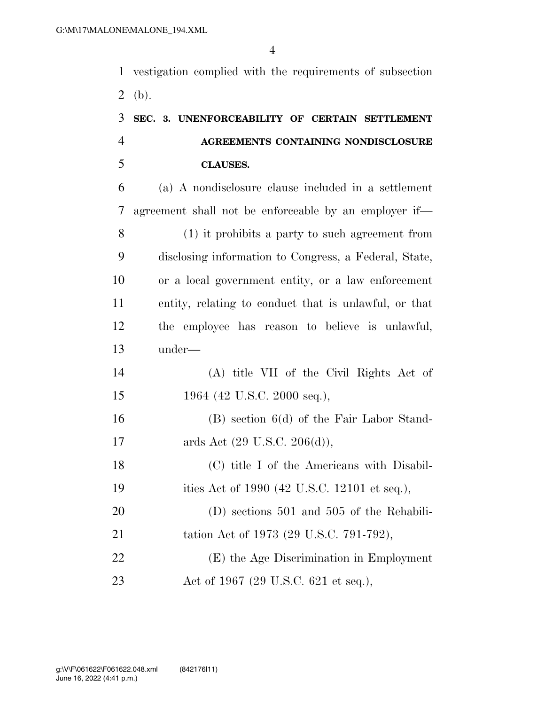vestigation complied with the requirements of subsection 2 (b).

## **SEC. 3. UNENFORCEABILITY OF CERTAIN SETTLEMENT AGREEMENTS CONTAINING NONDISCLOSURE CLAUSES.**

 (a) A nondisclosure clause included in a settlement agreement shall not be enforceable by an employer if— (1) it prohibits a party to such agreement from disclosing information to Congress, a Federal, State, or a local government entity, or a law enforcement entity, relating to conduct that is unlawful, or that the employee has reason to believe is unlawful, under— (A) title VII of the Civil Rights Act of 15 1964 (42 U.S.C. 2000 seq.), (B) section 6(d) of the Fair Labor Stand-17 ards Act (29 U.S.C. 206(d)), (C) title I of the Americans with Disabil-19 ities Act of 1990 (42 U.S.C. 12101 et seq.), (D) sections 501 and 505 of the Rehabili-21 tation Act of 1973 (29 U.S.C. 791-792), (E) the Age Discrimination in Employment 23 Act of 1967 (29 U.S.C. 621 et seq.),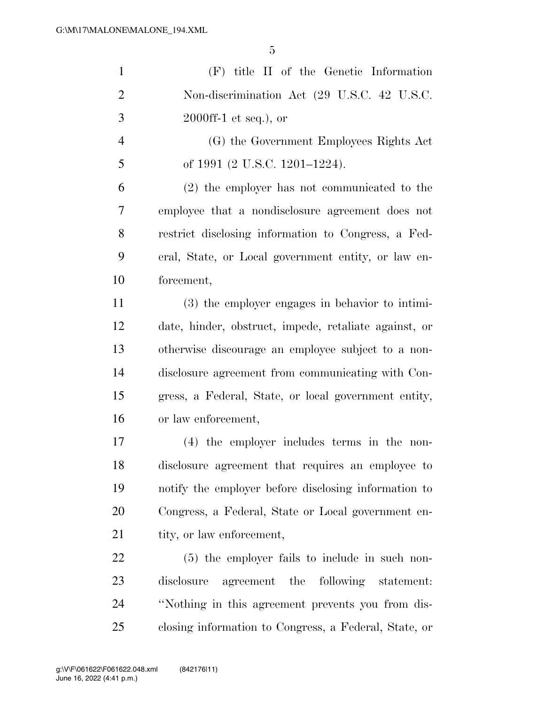| $\mathbf{1}$   | (F) title II of the Genetic Information               |
|----------------|-------------------------------------------------------|
| $\overline{2}$ | Non-discrimination Act (29 U.S.C. 42 U.S.C.           |
| 3              | $2000$ ff-1 et seq.), or                              |
| $\overline{4}$ | (G) the Government Employees Rights Act               |
| 5              | of 1991 (2 U.S.C. 1201–1224).                         |
| 6              | $(2)$ the employer has not communicated to the        |
| 7              | employee that a nondisclosure agreement does not      |
| 8              | restrict disclosing information to Congress, a Fed-   |
| 9              | eral, State, or Local government entity, or law en-   |
| 10             | forcement,                                            |
| 11             | (3) the employer engages in behavior to intimi-       |
| 12             | date, hinder, obstruct, impede, retaliate against, or |
| 13             | otherwise discourage an employee subject to a non-    |
| 14             | disclosure agreement from communicating with Con-     |
| 15             | gress, a Federal, State, or local government entity,  |
| 16             | or law enforcement,                                   |
| 17             | (4) the employer includes terms in the non-           |
| 18             | disclosure agreement that requires an employee to     |
| 19             | notify the employer before disclosing information to  |
| 20             | Congress, a Federal, State or Local government en-    |
| 21             | tity, or law enforcement,                             |
| 22             | $(5)$ the employer fails to include in such non-      |
| 23             | agreement the following statement:<br>disclosure      |
| 24             | "Nothing in this agreement prevents you from dis-     |
| 25             | closing information to Congress, a Federal, State, or |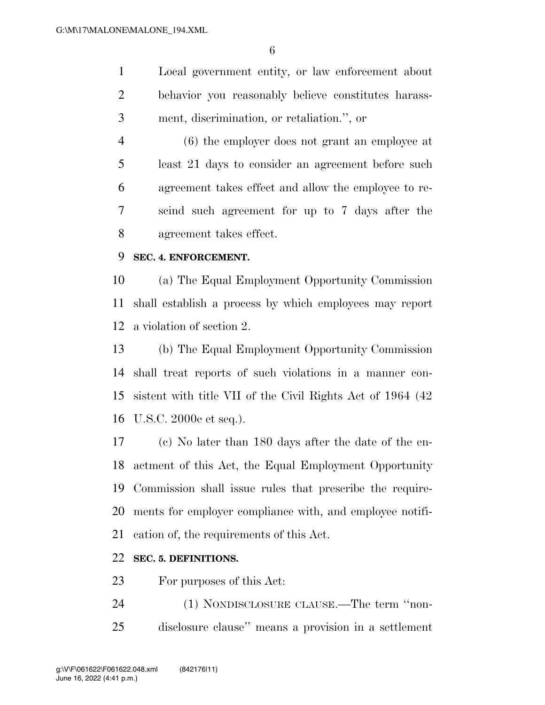Local government entity, or law enforcement about behavior you reasonably believe constitutes harass-ment, discrimination, or retaliation.'', or

 (6) the employer does not grant an employee at least 21 days to consider an agreement before such agreement takes effect and allow the employee to re- scind such agreement for up to 7 days after the agreement takes effect.

#### **SEC. 4. ENFORCEMENT.**

 (a) The Equal Employment Opportunity Commission shall establish a process by which employees may report a violation of section 2.

 (b) The Equal Employment Opportunity Commission shall treat reports of such violations in a manner con- sistent with title VII of the Civil Rights Act of 1964 (42 U.S.C. 2000e et seq.).

 (c) No later than 180 days after the date of the en- actment of this Act, the Equal Employment Opportunity Commission shall issue rules that prescribe the require- ments for employer compliance with, and employee notifi-cation of, the requirements of this Act.

### **SEC. 5. DEFINITIONS.**

For purposes of this Act:

 (1) NONDISCLOSURE CLAUSE.—The term ''non-disclosure clause'' means a provision in a settlement